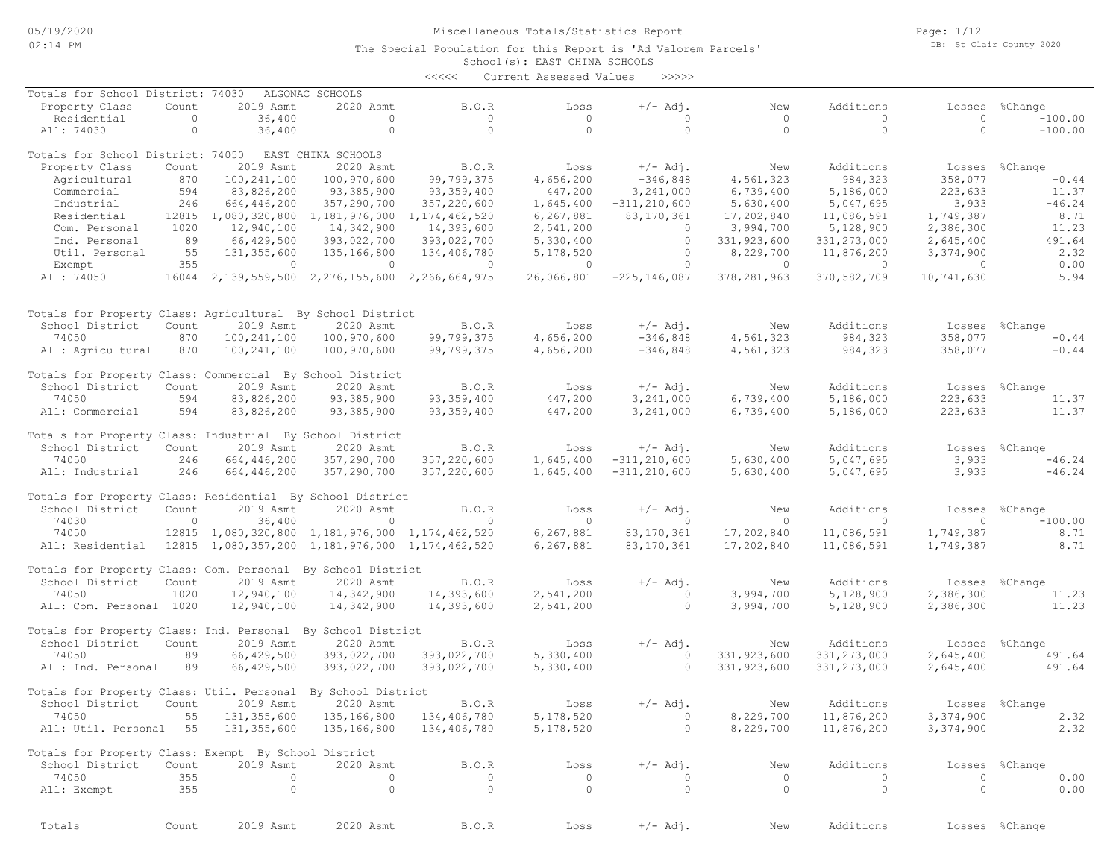Page: 1/12 DB: St Clair County 2020

|                                                              |              |                     |                                                          | $\prec\prec\prec\prec\prec$ | Current Assessed Values | >>>>>                  |                        |                |                |                |
|--------------------------------------------------------------|--------------|---------------------|----------------------------------------------------------|-----------------------------|-------------------------|------------------------|------------------------|----------------|----------------|----------------|
| Totals for School District: 74030                            |              |                     | ALGONAC SCHOOLS                                          |                             |                         |                        |                        |                |                |                |
| Property Class                                               | Count        | 2019 Asmt           | 2020 Asmt                                                | <b>B.O.R</b>                | Loss                    | $+/-$ Adj.             | New                    | Additions      | Losses         | %Change        |
| Residential                                                  | $\circ$      | 36,400              | $\circ$                                                  | $\circ$                     | $\circ$                 | $\circ$                | $\circ$                | $\circ$        | $\circ$        | $-100.00$      |
| All: 74030                                                   | $\circ$      | 36,400              | $\circ$                                                  | $\circ$                     | $\circ$                 | $\circ$                | $\circ$                | $\circ$        | $\Omega$       | $-100.00$      |
| Totals for School District: 74050                            |              |                     | EAST CHINA SCHOOLS                                       |                             |                         |                        |                        |                |                |                |
| Property Class                                               | Count        | 2019 Asmt           | 2020 Asmt                                                | B.O.R                       | Loss                    | $+/-$ Adj.             | New                    | Additions      | Losses         | %Change        |
| Agricultural                                                 | 870          | 100, 241, 100       | 100,970,600                                              | 99,799,375                  | 4,656,200               | $-346,848$             | 4,561,323              | 984,323        | 358,077        | $-0.44$        |
| Commercial                                                   | 594          | 83,826,200          | 93,385,900                                               | 93, 359, 400                | 447,200                 | 3,241,000              | 6,739,400              | 5,186,000      | 223,633        | 11.37          |
| Industrial                                                   | 246          | 664,446,200         | 357,290,700                                              | 357,220,600                 | 1,645,400               | $-311, 210, 600$       | 5,630,400              | 5,047,695      | 3,933          | $-46.24$       |
| Residential                                                  |              | 12815 1,080,320,800 | 1,181,976,000                                            | 1,174,462,520               | 6,267,881               | 83,170,361             | 17,202,840             | 11,086,591     | 1,749,387      | 8.71           |
| Com. Personal                                                | 1020         | 12,940,100          | 14,342,900                                               | 14,393,600                  | 2,541,200               | $\circ$                | 3,994,700              | 5,128,900      | 2,386,300      | 11.23          |
| Ind. Personal                                                | 89           | 66,429,500          | 393,022,700                                              | 393,022,700                 | 5,330,400               | $\circ$                | 331, 923, 600          | 331, 273, 000  | 2,645,400      | 491.64         |
| Util. Personal                                               | 55           | 131, 355, 600       | 135,166,800                                              | 134,406,780                 | 5,178,520               | $\circ$                | 8,229,700              | 11,876,200     | 3,374,900      | 2.32           |
| Exempt                                                       | 355          | $\circ$             | $\bigcirc$                                               | $\circ$                     | $\circ$                 | $\circ$                | $\circ$                | $\overline{0}$ | $\Omega$       | 0.00           |
| All: 74050                                                   |              |                     | 16044 2, 139, 559, 500 2, 276, 155, 600 2, 266, 664, 975 |                             | 26,066,801              | $-225, 146, 087$       | 378, 281, 963          | 370,582,709    | 10,741,630     | 5.94           |
| Totals for Property Class: Agricultural By School District   |              |                     |                                                          |                             |                         |                        |                        |                |                |                |
| School District                                              | Count        | 2019 Asmt           | 2020 Asmt                                                | B.O.R                       | Loss                    | $+/-$ Adj.             | New                    | Additions      | Losses         | %Change        |
| 74050                                                        | 870          | 100, 241, 100       | 100,970,600                                              | 99,799,375                  | 4,656,200               | $-346,848$             | 4,561,323              | 984,323        | 358,077        | $-0.44$        |
| All: Agricultural                                            | 870          | 100,241,100         | 100,970,600                                              | 99,799,375                  | 4,656,200               | $-346,848$             | 4,561,323              | 984,323        | 358,077        | $-0.44$        |
|                                                              |              |                     |                                                          |                             |                         |                        |                        |                |                |                |
| Totals for Property Class: Commercial By School District     |              |                     |                                                          |                             |                         |                        |                        |                |                |                |
| School District                                              | Count        | 2019 Asmt           | 2020 Asmt                                                | B.O.R                       | Loss                    | $+/-$ Adj.             | New                    | Additions      | Losses         | %Change        |
| 74050                                                        | 594<br>594   | 83,826,200          | 93,385,900                                               | 93, 359, 400                | 447,200<br>447,200      | 3,241,000<br>3,241,000 | 6,739,400<br>6,739,400 | 5,186,000      | 223,633        | 11.37<br>11.37 |
| All: Commercial                                              |              | 83,826,200          | 93,385,900                                               | 93, 359, 400                |                         |                        |                        | 5,186,000      | 223,633        |                |
| Totals for Property Class: Industrial By School District     |              |                     |                                                          |                             |                         |                        |                        |                |                |                |
| School District                                              | Count        | 2019 Asmt           | 2020 Asmt                                                | B.O.R                       | Loss                    | $+/-$ Adj.             | New                    | Additions      | Losses         | %Change        |
| 74050                                                        | 246          | 664,446,200         | 357,290,700                                              | 357,220,600                 | 1,645,400               | $-311, 210, 600$       | 5,630,400              | 5,047,695      | 3,933          | $-46.24$       |
| All: Industrial                                              | 246          | 664,446,200         | 357,290,700                                              | 357,220,600                 | 1,645,400               | $-311, 210, 600$       | 5,630,400              | 5,047,695      | 3,933          | $-46.24$       |
| Totals for Property Class: Residential By School District    |              |                     |                                                          |                             |                         |                        |                        |                |                |                |
| School District                                              | Count        | 2019 Asmt           | 2020 Asmt                                                | B.O.R                       | Loss                    | $+/-$ Adj.             | New                    | Additions      | Losses         | %Change        |
| 74030                                                        | $\mathbf{0}$ | 36,400              | $\circ$                                                  | $\Omega$                    | $\circ$                 | $\Omega$               | $\circ$                | $\Omega$       | $\circ$        | $-100.00$      |
| 74050                                                        |              |                     | 12815 1,080,320,800 1,181,976,000 1,174,462,520          |                             | 6,267,881               | 83, 170, 361           | 17,202,840             | 11,086,591     | 1,749,387      | 8.71           |
| All: Residential                                             |              |                     | 12815 1,080,357,200 1,181,976,000 1,174,462,520          |                             | 6,267,881               | 83, 170, 361           | 17,202,840             | 11,086,591     | 1,749,387      | 8.71           |
| Totals for Property Class: Com. Personal By School District  |              |                     |                                                          |                             |                         |                        |                        |                |                |                |
| School District                                              | Count        | 2019 Asmt           | 2020 Asmt                                                | B.O.R                       | Loss                    | $+/-$ Adj.             | New                    | Additions      | Losses         | %Change        |
| 74050                                                        | 1020         | 12,940,100          | 14,342,900                                               | 14,393,600                  | 2,541,200               | $\circ$                | 3,994,700              | 5,128,900      | 2,386,300      | 11.23          |
| All: Com. Personal 1020                                      |              | 12,940,100          | 14,342,900                                               | 14,393,600                  | 2,541,200               | $\circ$                | 3,994,700              | 5,128,900      | 2,386,300      | 11.23          |
| Totals for Property Class: Ind. Personal By School District  |              |                     |                                                          |                             |                         |                        |                        |                |                |                |
| School District                                              | Count        | 2019 Asmt           | 2020 Asmt                                                | B.O.R                       | Loss                    | $+/-$ Adj.             | New                    | Additions      | Losses         | %Change        |
| 74050                                                        | 89           | 66,429,500          | 393,022,700                                              | 393,022,700                 | 5,330,400               | $\circ$                | 331, 923, 600          | 331, 273, 000  | 2,645,400      | 491.64         |
| All: Ind. Personal                                           | 89           | 66,429,500          | 393,022,700                                              | 393,022,700                 | 5,330,400               | $\Omega$               | 331,923,600            | 331, 273, 000  | 2,645,400      | 491.64         |
| Totals for Property Class: Util. Personal By School District |              |                     |                                                          |                             |                         |                        |                        |                |                |                |
| School District                                              | Count        | 2019 Asmt           | 2020 Asmt                                                | <b>B.O.R</b>                | Loss                    | $+/-$ Adj.             | New                    | Additions      | Losses %Change |                |
| 74050                                                        | 55           | 131,355,600         | 135,166,800                                              | 134,406,780                 | 5,178,520               | $\circ$                | 8,229,700              | 11,876,200     | 3,374,900      | 2.32           |
| All: Util. Personal 55                                       |              | 131,355,600         | 135,166,800                                              | 134,406,780                 | 5,178,520               | $\circ$                | 8,229,700              | 11,876,200     | 3,374,900      | 2.32           |
| Totals for Property Class: Exempt By School District         |              |                     |                                                          |                             |                         |                        |                        |                |                |                |
| School District                                              | Count        | 2019 Asmt           | 2020 Asmt                                                | B.O.R                       | Loss                    | $+/-$ Adj.             | New                    | Additions      |                | Losses %Change |
| 74050                                                        | 355          | $\circ$             | $\circ$                                                  | $\circ$                     | $\circ$                 | $\circ$                | $\circ$                | $\circ$        | $\circ$        | 0.00           |
| All: Exempt                                                  | 355          | $\circ$             | $\circ$                                                  | $\circ$                     | $\circ$                 | $\circ$                | $\circ$                | $\circ$        | $\circ$        | 0.00           |
| Totals                                                       | Count        | 2019 Asmt           | 2020 Asmt                                                | B.O.R                       | Loss                    | $+/-$ Adj.             | New                    | Additions      |                | Losses %Change |
|                                                              |              |                     |                                                          |                             |                         |                        |                        |                |                |                |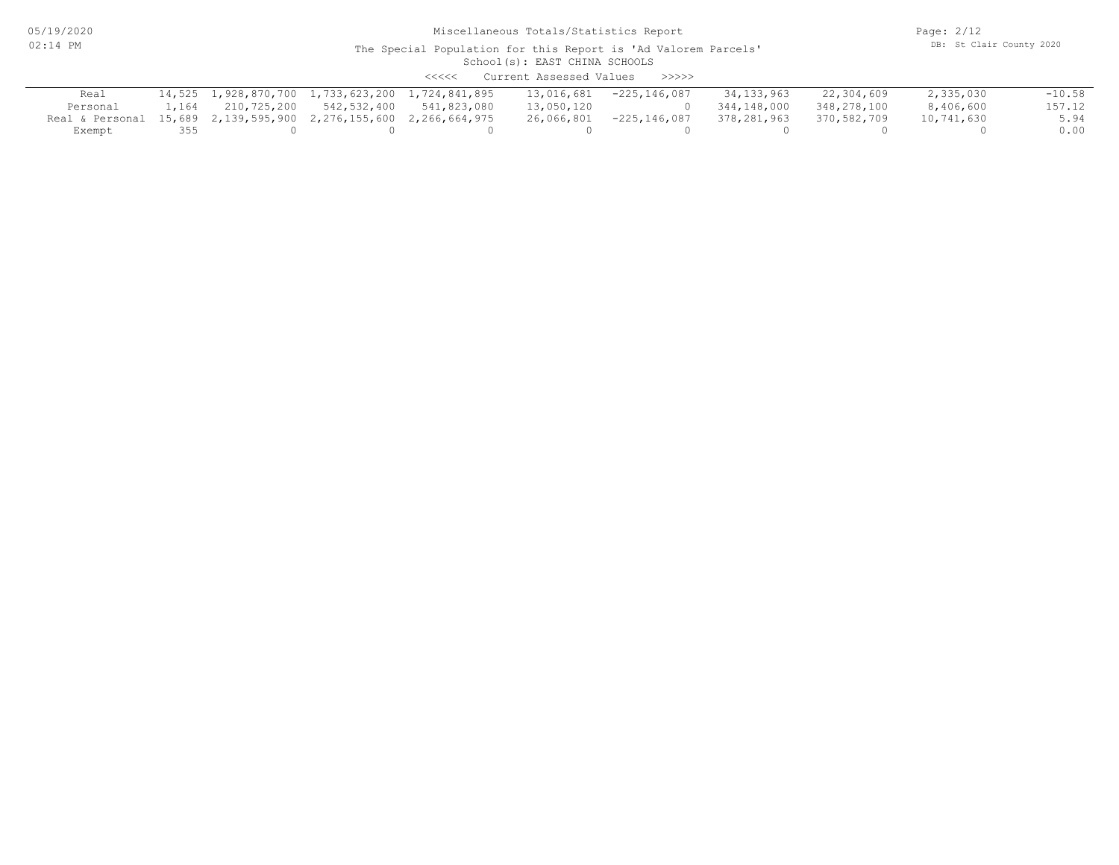05/19/2020 02:14 PM

# Miscellaneous Totals/Statistics Report

Page: 2/12 DB: St Clair County 2020

#### School(s): EAST CHINA SCHOOLS The Special Population for this Report is 'Ad Valorem Parcels'

<<<<< Current Assessed Values >>>>>

| Real                                                             |       |             | 14,525 1,928,870,700 1,733,623,200 1,724,841,895 | 13,016,681 | $-225, 146, 087$ | 34,133,963  | 22,304,609  | 2,335,030  | $-10.58$ |
|------------------------------------------------------------------|-------|-------------|--------------------------------------------------|------------|------------------|-------------|-------------|------------|----------|
| Personal                                                         | 1,164 | 210,725,200 | 542,532,400 541,823,080                          |            | 13,050,120 0     | 344,148,000 | 348,278,100 | 8,406,600  | 157.12   |
| Real & Personal 15,689 2,139,595,900 2,276,155,600 2,266,664,975 |       |             |                                                  | 26,066,801 | $-225, 146, 087$ | 378,281,963 | 370,582,709 | 10,741,630 | 5.94     |
| Exempt                                                           | 355   |             |                                                  |            |                  |             |             |            | 0.00     |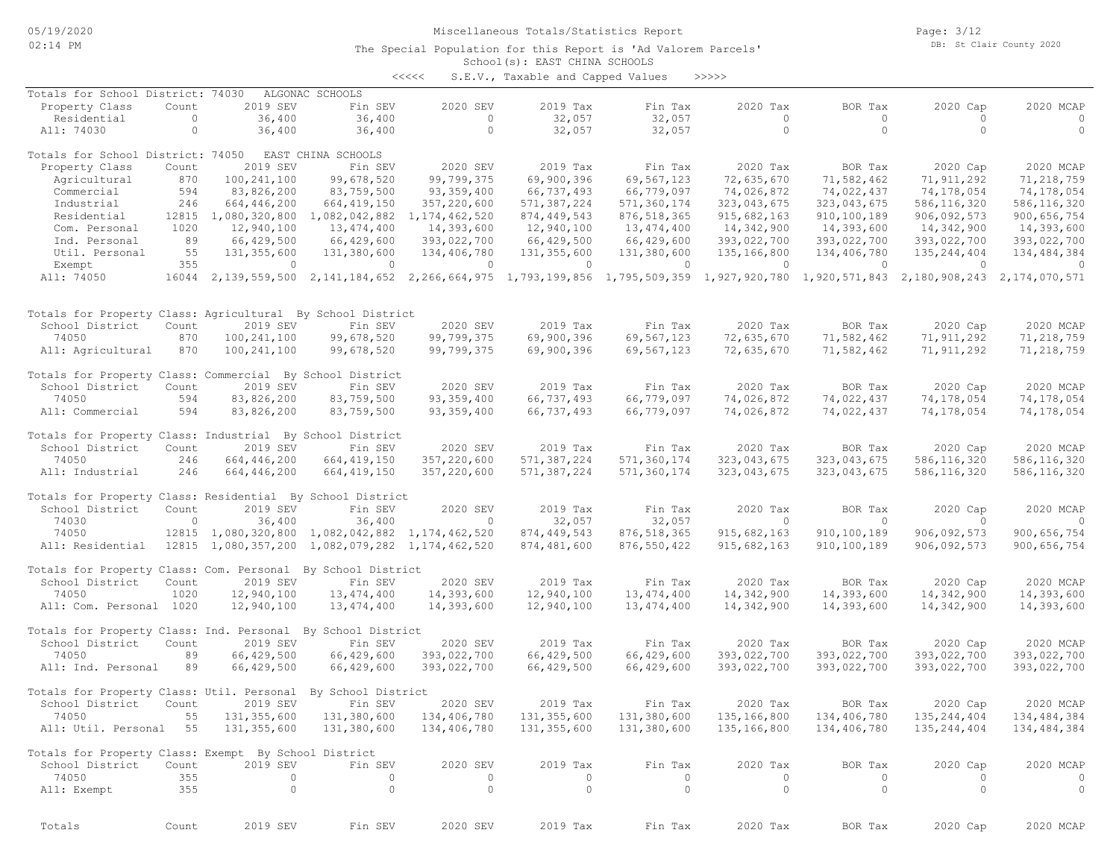Page: 3/12 DB: St Clair County 2020

### School(s): EAST CHINA SCHOOLS The Special Population for this Report is 'Ad Valorem Parcels'

<<<<< S.E.V., Taxable and Capped Values >>>>>

| Totals for School District: 74030                            |         |                     | ALGONAC SCHOOLS                                                                                                                     |                  |               |                             |             |                |                                           |                |
|--------------------------------------------------------------|---------|---------------------|-------------------------------------------------------------------------------------------------------------------------------------|------------------|---------------|-----------------------------|-------------|----------------|-------------------------------------------|----------------|
| Property Class                                               | Count   | 2019 SEV            | Fin SEV                                                                                                                             | 2020 SEV         | 2019 Tax      | Fin Tax                     | 2020 Tax    | BOR Tax        | 2020 Cap                                  | 2020 MCAP      |
| Residential                                                  | $\circ$ | 36,400              | 36,400                                                                                                                              | $\circ$          | 32,057        | 32,057                      | $\circ$     | $\circ$        | $\circ$                                   | $\circ$        |
| All: 74030                                                   | $\circ$ | 36,400              | 36,400                                                                                                                              | $\circ$          | 32,057        | 32,057                      | $\circ$     | $\circ$        | $\Omega$                                  | $\circ$        |
|                                                              |         |                     |                                                                                                                                     |                  |               |                             |             |                |                                           |                |
| Totals for School District: 74050                            |         |                     | EAST CHINA SCHOOLS                                                                                                                  |                  |               |                             |             |                |                                           |                |
| Property Class                                               | Count   | 2019 SEV            | Fin SEV                                                                                                                             | 2020 SEV         | 2019 Tax      | Fin Tax                     | 2020 Tax    | BOR Tax        | 2020 Cap                                  | 2020 MCAP      |
| Agricultural                                                 | 870     | 100, 241, 100       | 99,678,520                                                                                                                          | 99,799,375       | 69,900,396    | 69,567,123                  | 72,635,670  | 71,582,462     | 71, 911, 292                              | 71,218,759     |
| Commercial                                                   | 594     | 83,826,200          | 83,759,500                                                                                                                          | 93, 359, 400     | 66,737,493    | 66,779,097                  | 74,026,872  | 74,022,437     | 74,178,054                                | 74,178,054     |
|                                                              |         |                     |                                                                                                                                     |                  |               |                             |             | 323,043,675    | 586, 116, 320                             |                |
| Industrial                                                   | 246     | 664,446,200         | 664, 419, 150                                                                                                                       | 357,220,600      | 571,387,224   | 571,360,174                 | 323,043,675 |                |                                           | 586, 116, 320  |
| Residential                                                  |         | 12815 1,080,320,800 | 1,082,042,882                                                                                                                       | 1, 174, 462, 520 | 874, 449, 543 | 876, 518, 365               | 915,682,163 | 910,100,189    | 906,092,573                               | 900,656,754    |
| Com. Personal                                                | 1020    | 12,940,100          | 13, 474, 400                                                                                                                        | 14,393,600       | 12,940,100    | 13,474,400                  | 14,342,900  | 14,393,600     | 14,342,900                                | 14,393,600     |
| Ind. Personal                                                | 89      | 66,429,500          | 66,429,600                                                                                                                          | 393,022,700      | 66,429,500    | 66,429,600                  | 393,022,700 | 393,022,700    | 393,022,700                               | 393,022,700    |
| Util. Personal                                               | 55      | 131,355,600         | 131,380,600                                                                                                                         | 134,406,780      | 131,355,600   | 131,380,600                 | 135,166,800 | 134,406,780    | 135, 244, 404                             | 134, 484, 384  |
| Exempt                                                       | 355     | $\circ$             | $\overline{0}$                                                                                                                      | $\circ$          | $\circ$       | $\circ$                     | $\circ$     | $\overline{0}$ | $\Omega$                                  | $\overline{0}$ |
| All: 74050                                                   |         |                     | 16044 2,139,559,500 2,141,184,652 2,266,664,975 1,793,199,856 1,795,509,359 1,927,920,780 1,920,571,843 2,180,908,243 2,174,070,571 |                  |               |                             |             |                |                                           |                |
|                                                              |         |                     |                                                                                                                                     |                  |               |                             |             |                |                                           |                |
|                                                              |         |                     |                                                                                                                                     |                  |               |                             |             |                |                                           |                |
| Totals for Property Class: Agricultural By School District   |         |                     |                                                                                                                                     |                  |               |                             |             |                |                                           |                |
| School District                                              | Count   | 2019 SEV            | Fin SEV                                                                                                                             | 2020 SEV         | 2019 Tax      | Fin Tax                     | 2020 Tax    | BOR Tax        | 2020 Cap                                  | 2020 MCAP      |
| 74050                                                        | 870     | 100, 241, 100       | 99,678,520                                                                                                                          | 99,799,375       | 69,900,396    | 69,567,123                  | 72,635,670  | 71,582,462     | 71, 911, 292                              | 71,218,759     |
| All: Agricultural                                            | 870     | 100, 241, 100       | 99,678,520                                                                                                                          | 99,799,375       | 69,900,396    | 69,567,123                  | 72,635,670  | 71,582,462     | 71, 911, 292                              | 71,218,759     |
|                                                              |         |                     |                                                                                                                                     |                  |               |                             |             |                |                                           |                |
|                                                              |         |                     |                                                                                                                                     |                  |               |                             |             |                |                                           |                |
| Totals for Property Class: Commercial By School District     |         |                     |                                                                                                                                     |                  |               |                             |             |                |                                           |                |
| School District                                              | Count   | 2019 SEV            | Fin SEV                                                                                                                             | 2020 SEV         | 2019 Tax      | Fin Tax                     | 2020 Tax    | BOR Tax        | 2020 Cap                                  | 2020 MCAP      |
| 74050                                                        | 594     | 83,826,200          | 83,759,500                                                                                                                          | 93, 359, 400     | 66,737,493    | 66,779,097                  | 74,026,872  | 74,022,437     | 74,178,054                                | 74,178,054     |
| All: Commercial                                              | 594     | 83,826,200          | 83,759,500                                                                                                                          | 93, 359, 400     | 66,737,493    | 66,779,097                  | 74,026,872  | 74,022,437     | 74,178,054                                | 74,178,054     |
|                                                              |         |                     |                                                                                                                                     |                  |               |                             |             |                |                                           |                |
| Totals for Property Class: Industrial By School District     |         |                     |                                                                                                                                     |                  |               |                             |             |                |                                           |                |
| School District                                              | Count   | 2019 SEV            | Fin SEV                                                                                                                             | 2020 SEV         | 2019 Tax      | Fin Tax                     | 2020 Tax    | BOR Tax        | 2020 Cap                                  | 2020 MCAP      |
| 74050                                                        | 246     | 664,446,200         | 664, 419, 150                                                                                                                       | 357,220,600      | 571,387,224   | 571,360,174                 | 323,043,675 | 323,043,675    | 586, 116, 320                             | 586, 116, 320  |
| All: Industrial                                              | 246     | 664,446,200         | 664, 419, 150                                                                                                                       | 357,220,600      | 571,387,224   | 571,360,174                 | 323,043,675 | 323,043,675    | 586, 116, 320                             | 586, 116, 320  |
|                                                              |         |                     |                                                                                                                                     |                  |               |                             |             |                |                                           |                |
| Totals for Property Class: Residential By School District    |         |                     |                                                                                                                                     |                  |               |                             |             |                |                                           |                |
| School District                                              | Count   | 2019 SEV            | Fin SEV                                                                                                                             | 2020 SEV         | 2019 Tax      | Fin Tax                     | 2020 Tax    | BOR Tax        | 2020 Cap                                  | 2020 MCAP      |
| 74030                                                        | $\circ$ | 36,400              | 36,400                                                                                                                              | $\mathbf{0}$     | 32,057        | 32,057                      | $\circ$     | $\overline{0}$ | $\circ$                                   | $\overline{0}$ |
| 74050                                                        |         |                     | 12815 1,080,320,800 1,082,042,882 1,174,462,520                                                                                     |                  | 874, 449, 543 |                             | 915,682,163 | 910, 100, 189  | 906,092,573                               | 900,656,754    |
|                                                              |         |                     |                                                                                                                                     |                  |               | 876, 518, 365               |             |                |                                           |                |
| All: Residential                                             |         |                     | 12815 1,080,357,200 1,082,079,282 1,174,462,520                                                                                     |                  | 874,481,600   | 876, 550, 422               | 915,682,163 | 910, 100, 189  | 906,092,573                               | 900,656,754    |
|                                                              |         |                     |                                                                                                                                     |                  |               |                             |             |                |                                           |                |
| Totals for Property Class: Com. Personal By School District  |         |                     |                                                                                                                                     |                  |               |                             |             |                |                                           |                |
| School District                                              | Count   | 2019 SEV            | Fin SEV                                                                                                                             | 2020 SEV         | 2019 Tax      | Fin Tax                     | 2020 Tax    | BOR Tax        | 2020 Cap                                  | 2020 MCAP      |
| 74050                                                        | 1020    | 12,940,100          | 13,474,400                                                                                                                          | 14,393,600       | 12,940,100    | 13, 474, 400                | 14,342,900  | 14,393,600     | 14,342,900                                | 14,393,600     |
| All: Com. Personal 1020                                      |         | 12,940,100          | 13,474,400                                                                                                                          | 14,393,600       | 12,940,100    | 13,474,400                  | 14,342,900  | 14,393,600     | 14,342,900                                | 14,393,600     |
|                                                              |         |                     |                                                                                                                                     |                  |               |                             |             |                |                                           |                |
| Totals for Property Class: Ind. Personal By School District  |         |                     |                                                                                                                                     |                  |               |                             |             |                |                                           |                |
| School District                                              | Count   | 2019 SEV            | Fin SEV                                                                                                                             | 2020 SEV         | 2019 Tax      | Fin Tax                     | 2020 Tax    | BOR Tax        | 2020 Cap                                  | 2020 MCAP      |
| 74050                                                        | 89      | 66,429,500          | 66,429,600                                                                                                                          | 393,022,700      | 66,429,500    | 66,429,600                  | 393,022,700 | 393,022,700    | 393,022,700                               | 393,022,700    |
| All: Ind. Personal                                           | 89      | 66,429,500          | 66,429,600                                                                                                                          | 393,022,700      | 66,429,500    | 66,429,600                  | 393,022,700 | 393,022,700    | 393,022,700                               | 393,022,700    |
|                                                              |         |                     |                                                                                                                                     |                  |               |                             |             |                |                                           |                |
| Totals for Property Class: Util. Personal By School District |         |                     |                                                                                                                                     |                  |               |                             |             |                |                                           |                |
| School District                                              | Count   | 2019 SEV            | Fin SEV                                                                                                                             | 2020 SEV         | 2019 Tax      | Fin Tax                     | 2020 Tax    | BOR Tax        | 2020 Cap                                  | 2020 MCAP      |
| 74050                                                        |         |                     | 55 131,355,600 131,380,600 134,406,780                                                                                              |                  |               | 131, 355, 600 131, 380, 600 |             |                | 135, 166, 800 134, 406, 780 135, 244, 404 | 134,484,384    |
|                                                              |         |                     |                                                                                                                                     |                  |               |                             |             |                |                                           |                |
| All: Util. Personal 55 131,355,600                           |         |                     | 131,380,600                                                                                                                         | 134,406,780      | 131,355,600   | 131,380,600                 | 135,166,800 | 134,406,780    | 135,244,404                               | 134,484,384    |
|                                                              |         |                     |                                                                                                                                     |                  |               |                             |             |                |                                           |                |
| Totals for Property Class: Exempt By School District         |         |                     |                                                                                                                                     |                  |               |                             |             |                |                                           |                |
| School District                                              | Count   | 2019 SEV            | Fin SEV                                                                                                                             | 2020 SEV         | 2019 Tax      | Fin Tax                     | 2020 Tax    | BOR Tax        | 2020 Cap                                  | 2020 MCAP      |
| 74050                                                        | 355     | $\circ$             | $\circ$                                                                                                                             | 0                | $\circ$       | 0                           | $\circ$     | $\circ$        | $\Omega$                                  | $\circ$        |
| All: Exempt                                                  | 355     | $\circ$             | $\circ$                                                                                                                             | $\circ$          | $\circ$       | $\circ$                     | $\circ$     | $\circ$        | $\circ$                                   | $\circ$        |
|                                                              |         |                     |                                                                                                                                     |                  |               |                             |             |                |                                           |                |
|                                                              |         |                     |                                                                                                                                     |                  |               |                             |             |                |                                           |                |
| Totals                                                       | Count   | 2019 SEV            | Fin SEV                                                                                                                             | 2020 SEV         | 2019 Tax      | Fin Tax                     | 2020 Tax    | BOR Tax        | 2020 Cap                                  | 2020 MCAP      |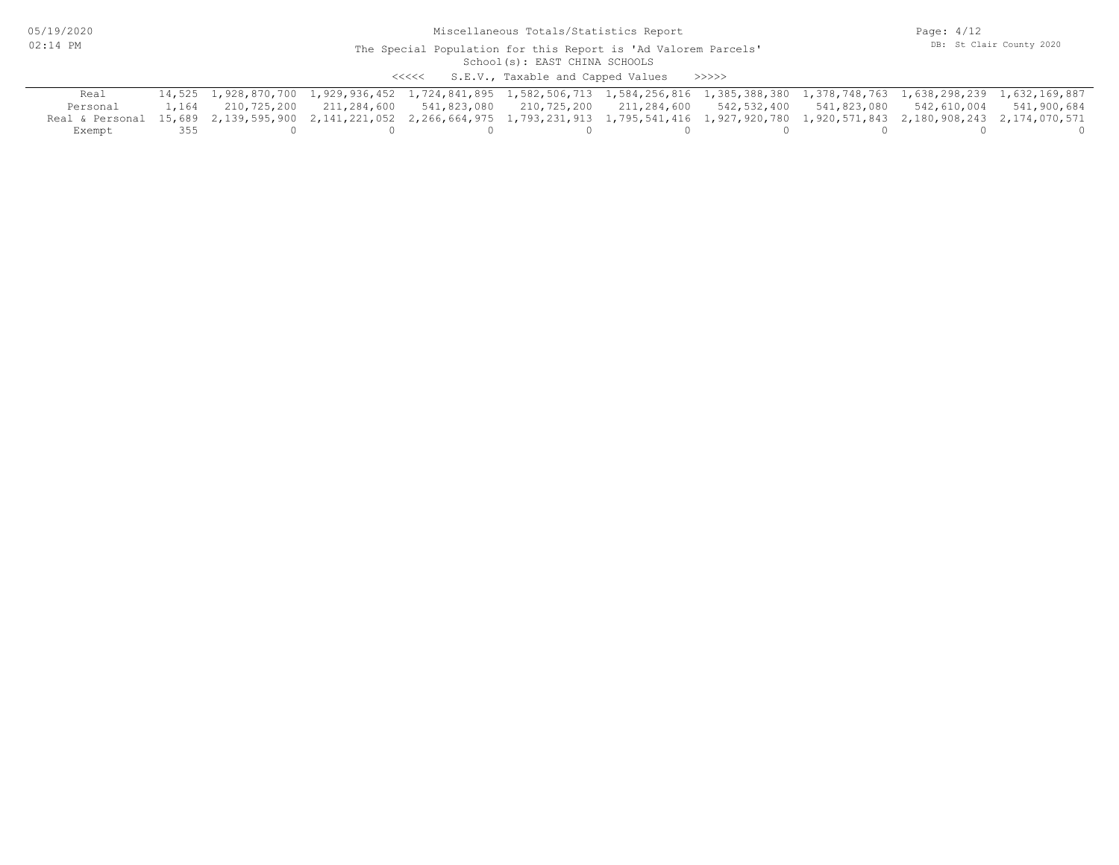05/19/2020 02:14 PM

#### School(s): EAST CHINA SCHOOLS The Special Population for this Report is 'Ad Valorem Parcels'

<<<<< S.E.V., Taxable and Capped Values >>>>>

| Real                                                                                                                                                 |     | 14,525 1,928,870,700 1,929,936,452 1,724,841,895 1,582,506,713 1,584,256,816 1,385,388,380 1,378,748,763 1,638,298,239 1,632,169,887 |  |  |  |  |
|------------------------------------------------------------------------------------------------------------------------------------------------------|-----|--------------------------------------------------------------------------------------------------------------------------------------|--|--|--|--|
| Personal                                                                                                                                             |     | 1,164 210,725,200 211,284,600 541,823,080 210,725,200 211,284,600 542,532,400 541,823,080 542,610,004 541,900,684                    |  |  |  |  |
| Real & Personal 15,689 2,139,595,900 2,141,221,052 2,266,664,975 1,793,231,913 1,795,541,416 1,927,920,780 1,920,571,843 2,180,908,243 2,174,070,571 |     |                                                                                                                                      |  |  |  |  |
| Exempt                                                                                                                                               | 355 |                                                                                                                                      |  |  |  |  |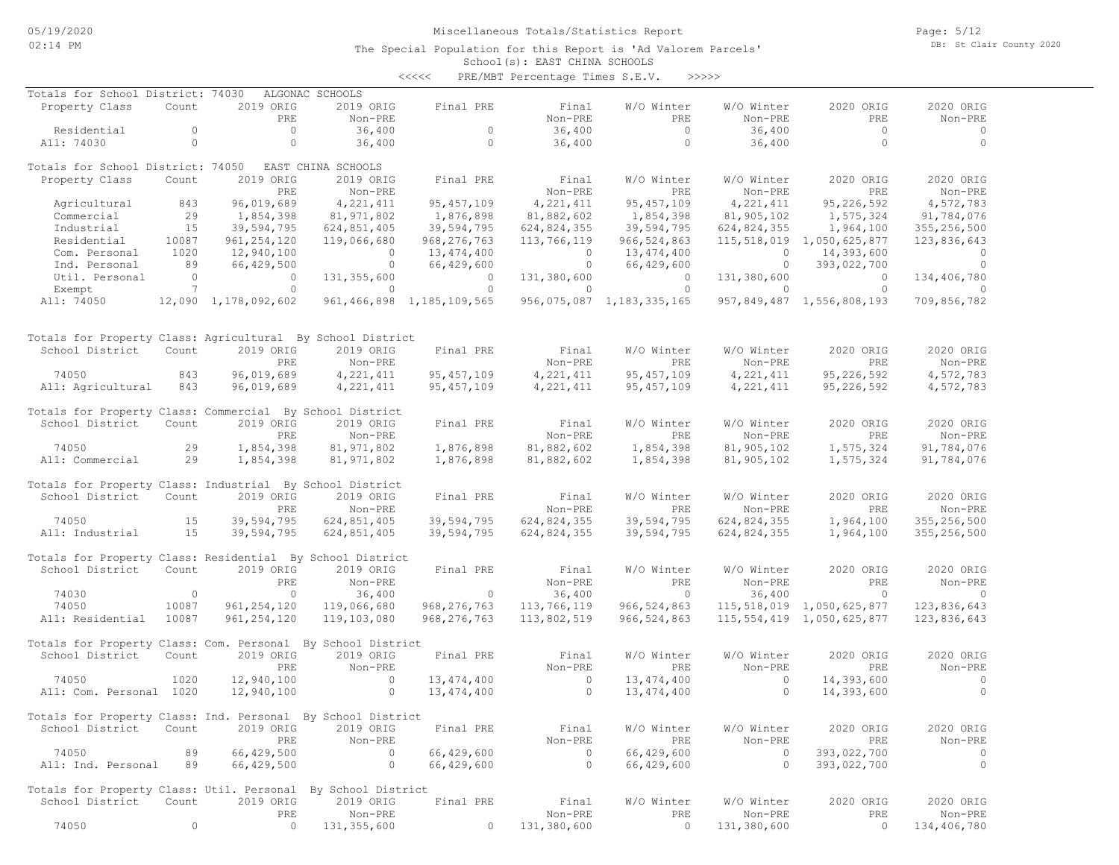Page: 5/12 DB: St Clair County 2020

| くくくくく | PRE/MBT Percentage Times S.E.V. |  |  | >>>>> |
|-------|---------------------------------|--|--|-------|
|-------|---------------------------------|--|--|-------|

| Totals for School District: 74030                            |                 |                      | ALGONAC SCHOOLS    |                                |                |                           |             |                                |                |
|--------------------------------------------------------------|-----------------|----------------------|--------------------|--------------------------------|----------------|---------------------------|-------------|--------------------------------|----------------|
| Property Class                                               | Count           | 2019 ORIG            | 2019 ORIG          | Final PRE                      | Final          | W/O Winter                | W/O Winter  | 2020 ORIG                      | 2020 ORIG      |
|                                                              |                 | PRE                  | Non-PRE            |                                | Non-PRE        | PRE                       | Non-PRE     | PRE                            | Non-PRE        |
| Residential                                                  | $\circ$         | $\circ$              | 36,400             | $\circ$                        | 36,400         | $\overline{0}$            | 36,400      | $\circ$                        | $\circ$        |
| All: 74030                                                   | $\circ$         | $\circ$              | 36,400             | $\circ$                        | 36,400         | $\circ$                   | 36,400      | $\circ$                        | $\circ$        |
|                                                              |                 |                      |                    |                                |                |                           |             |                                |                |
| Totals for School District: 74050                            |                 |                      | EAST CHINA SCHOOLS |                                |                |                           |             |                                |                |
| Property Class                                               | Count           | 2019 ORIG            | 2019 ORIG          | Final PRE                      | Final          | W/O Winter                | W/O Winter  | 2020 ORIG                      | 2020 ORIG      |
|                                                              |                 | PRE                  |                    |                                | Non-PRE        | PRE                       | Non-PRE     | PRE                            | Non-PRE        |
|                                                              |                 |                      | Non-PRE            |                                |                |                           |             |                                |                |
| Agricultural                                                 | 843             | 96,019,689           | 4,221,411          | 95, 457, 109                   | 4, 221, 411    | 95, 457, 109              | 4, 221, 411 | 95, 226, 592                   | 4,572,783      |
| Commercial                                                   | 29              | 1,854,398            | 81,971,802         | 1,876,898                      | 81,882,602     | 1,854,398                 | 81,905,102  | 1,575,324                      | 91,784,076     |
| Industrial                                                   | 15              | 39,594,795           | 624,851,405        | 39,594,795                     | 624,824,355    | 39,594,795                | 624,824,355 | 1,964,100                      | 355,256,500    |
| Residential                                                  | 10087           | 961, 254, 120        | 119,066,680        | 968, 276, 763                  | 113,766,119    | 966, 524, 863             |             | 115,518,019 1,050,625,877      | 123,836,643    |
| Com. Personal                                                | 1020            | 12,940,100           | $\overline{0}$     | 13,474,400                     | $\overline{0}$ | 13,474,400                | $\circ$     | 14,393,600                     | $\Omega$       |
| Ind. Personal                                                | 89              | 66,429,500           | $\circ$            | 66,429,600                     | $\circ$        | 66,429,600                | $\circ$     | 393,022,700                    | $\circ$        |
| Util. Personal                                               | $\circ$         | $\circ$              | 131, 355, 600      | $\circ$                        | 131,380,600    | $\circ$                   | 131,380,600 | $\circ$                        | 134,406,780    |
| Exempt                                                       | $7\phantom{.0}$ | $\circ$              | $\mathbf{0}$       | $\Omega$                       | $\circ$        | $\Omega$                  | $\Omega$    | $\circ$                        | $\Omega$       |
| All: 74050                                                   |                 | 12,090 1,178,092,602 |                    | 961, 466, 898 1, 185, 109, 565 |                | 956,075,087 1,183,335,165 |             | 957,849,487 1,556,808,193      | 709,856,782    |
|                                                              |                 |                      |                    |                                |                |                           |             |                                |                |
|                                                              |                 |                      |                    |                                |                |                           |             |                                |                |
| Totals for Property Class: Agricultural By School District   |                 |                      |                    |                                |                |                           |             |                                |                |
| School District                                              | Count           | 2019 ORIG            | 2019 ORIG          | Final PRE                      | Final          | W/O Winter                | W/O Winter  | 2020 ORIG                      | 2020 ORIG      |
|                                                              |                 | PRE                  | Non-PRE            |                                | Non-PRE        | PRE                       | Non-PRE     | PRE                            | Non-PRE        |
| 74050                                                        | 843             | 96,019,689           | 4,221,411          | 95, 457, 109                   | 4, 221, 411    | 95, 457, 109              | 4, 221, 411 | 95,226,592                     | 4,572,783      |
| All: Agricultural                                            | 843             | 96,019,689           | 4,221,411          | 95, 457, 109                   | 4,221,411      | 95, 457, 109              | 4, 221, 411 | 95,226,592                     | 4,572,783      |
|                                                              |                 |                      |                    |                                |                |                           |             |                                |                |
| Totals for Property Class: Commercial By School District     |                 |                      |                    |                                |                |                           |             |                                |                |
| School District                                              | Count           | 2019 ORIG            | 2019 ORIG          | Final PRE                      | Final          | W/O Winter                | W/O Winter  | 2020 ORIG                      | 2020 ORIG      |
|                                                              |                 |                      |                    |                                | Non-PRE        |                           |             |                                |                |
|                                                              |                 | PRE                  | Non-PRE            |                                |                | PRE                       | Non-PRE     | PRE                            | Non-PRE        |
| 74050                                                        | 29              | 1,854,398            | 81, 971, 802       | 1,876,898                      | 81,882,602     | 1,854,398                 | 81,905,102  | 1,575,324                      | 91,784,076     |
| All: Commercial                                              | 29              | 1,854,398            | 81, 971, 802       | 1,876,898                      | 81,882,602     | 1,854,398                 | 81,905,102  | 1,575,324                      | 91,784,076     |
|                                                              |                 |                      |                    |                                |                |                           |             |                                |                |
| Totals for Property Class: Industrial By School District     |                 |                      |                    |                                |                |                           |             |                                |                |
| School District                                              | Count           | 2019 ORIG            | 2019 ORIG          | Final PRE                      | Final          | W/O Winter                | W/O Winter  | 2020 ORIG                      | 2020 ORIG      |
|                                                              |                 | PRE                  | Non-PRE            |                                | Non-PRE        | PRE                       | Non-PRE     | PRE                            | Non-PRE        |
| 74050                                                        | 15              | 39,594,795           | 624,851,405        | 39,594,795                     | 624,824,355    | 39,594,795                | 624,824,355 | 1,964,100                      | 355,256,500    |
| All: Industrial                                              | 15              | 39,594,795           | 624,851,405        | 39,594,795                     | 624,824,355    | 39,594,795                | 624,824,355 | 1,964,100                      | 355,256,500    |
|                                                              |                 |                      |                    |                                |                |                           |             |                                |                |
| Totals for Property Class: Residential By School District    |                 |                      |                    |                                |                |                           |             |                                |                |
| School District                                              | Count           | 2019 ORIG            | 2019 ORIG          | Final PRE                      | Final          | W/O Winter                | W/O Winter  | 2020 ORIG                      | 2020 ORIG      |
|                                                              |                 | PRE                  | Non-PRE            |                                | Non-PRE        | PRE                       | Non-PRE     | PRE                            | Non-PRE        |
| 74030                                                        | $\circ$         | $\circ$              | 36,400             | $\circ$                        | 36,400         | $\circ$                   | 36,400      | $\circ$                        | $\circ$        |
| 74050                                                        | 10087           | 961, 254, 120        | 119,066,680        | 968, 276, 763                  | 113,766,119    | 966, 524, 863             |             | 115,518,019 1,050,625,877      | 123,836,643    |
| All: Residential                                             | 10087           | 961, 254, 120        | 119,103,080        | 968, 276, 763                  | 113,802,519    | 966, 524, 863             |             | 115, 554, 419 1, 050, 625, 877 | 123,836,643    |
|                                                              |                 |                      |                    |                                |                |                           |             |                                |                |
| Totals for Property Class: Com. Personal                     |                 |                      | By School District |                                |                |                           |             |                                |                |
| School District                                              | Count           | 2019 ORIG            | 2019 ORIG          | Final PRE                      | Final          | W/O Winter                | W/O Winter  | 2020 ORIG                      | 2020 ORIG      |
|                                                              |                 | <b>PRE</b>           | Non-PRE            |                                | Non-PRE        | PRE                       | Non-PRE     | PRE                            | $Non-PRF$      |
| 74050                                                        | 1020            | 12,940,100           | $\circ$            | 13, 474, 400                   | $\circ$        | 13, 474, 400              | $\circ$     | 14,393,600                     | $\circ$        |
| All: Com. Personal 1020                                      |                 | 12,940,100           | $\circ$            | 13,474,400                     | $\Omega$       | 13, 474, 400              | $\Omega$    | 14,393,600                     | $\circ$        |
|                                                              |                 |                      |                    |                                |                |                           |             |                                |                |
| Totals for Property Class: Ind. Personal By School District  |                 |                      |                    |                                |                |                           |             |                                |                |
|                                                              |                 |                      |                    | Final PRE                      |                |                           |             |                                |                |
| School District Count                                        |                 | 2019 ORIG            | 2019 ORIG          |                                | Final          | W/O Winter                | W/O Winter  | 2020 ORIG                      | 2020 ORIG      |
|                                                              |                 | PRE                  | Non-PRE            |                                | Non-PRE        | <b>PRE</b>                | Non-PRE     | PRE                            | Non-PRE        |
| 74050                                                        | 89              | 66,429,500           | $\sim$ 0           | 66,429,600                     | $\sim$ 0       | 66,429,600                | $\sim$ 0    | 393,022,700                    | $\circ$        |
| All: Ind. Personal 89                                        |                 | 66,429,500           | $\overline{0}$     | 66,429,600                     | $\overline{0}$ | 66,429,600                | $\sim$ 0    | 393,022,700                    | $\overline{0}$ |
|                                                              |                 |                      |                    |                                |                |                           |             |                                |                |
| Totals for Property Class: Util. Personal By School District |                 |                      |                    |                                |                |                           |             |                                |                |
| School District                                              | Count           | 2019 ORIG            | 2019 ORIG          | Final PRE                      | Final          | W/O Winter                | W/O Winter  | 2020 ORIG                      | 2020 ORIG      |
|                                                              |                 | PRE                  | Non-PRE            |                                | Non-PRE        | PRE                       | Non-PRE     | PRE                            | Non-PRE        |
| 74050                                                        | $\circ$         | $\circ$              | 131,355,600        | $\overline{0}$                 | 131,380,600    | $\sim$ 0                  | 131,380,600 | $\circ$                        | 134,406,780    |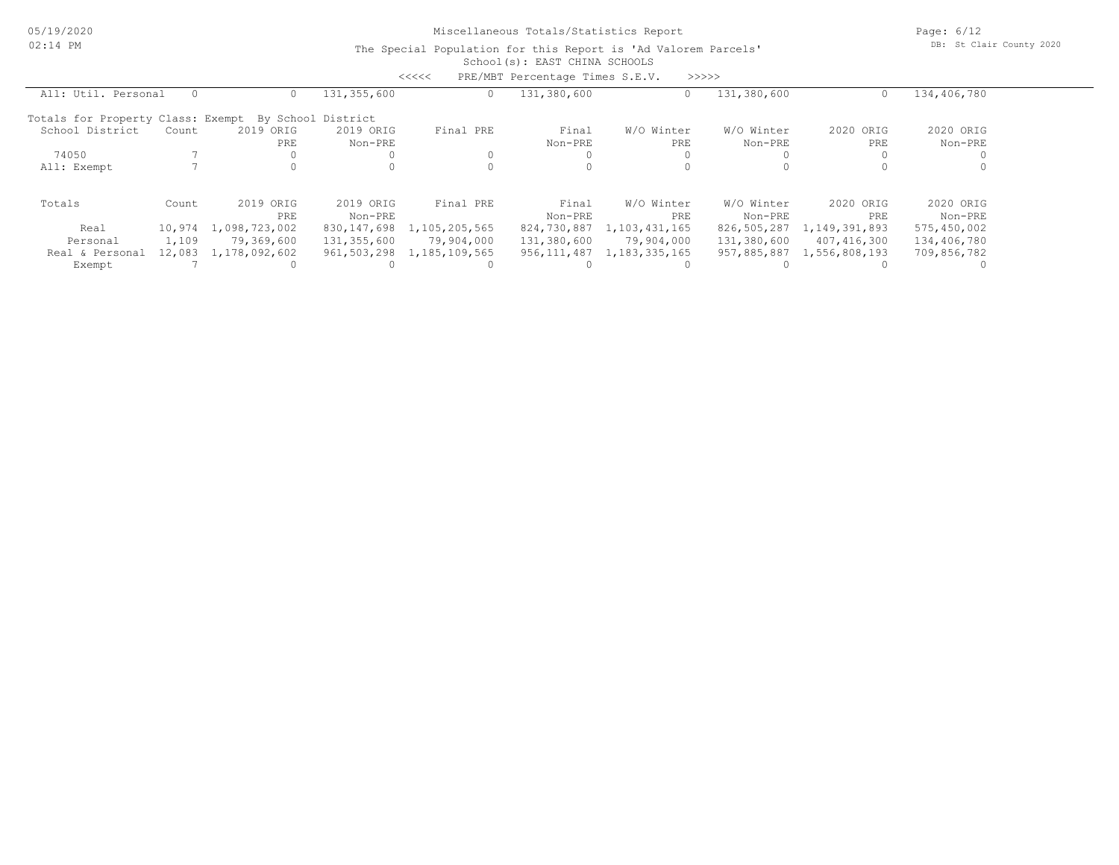05/19/2020 02:14 PM

## Miscellaneous Totals/Statistics Report

Page: 6/12 DB: St Clair County 2020

|                                                      |        |               |             | <<<<          | PRE/MBT Percentage Times S.E.V. |                  | >>>>>       |               |             |  |
|------------------------------------------------------|--------|---------------|-------------|---------------|---------------------------------|------------------|-------------|---------------|-------------|--|
| All: Util. Personal                                  |        |               | 131,355,600 | $\circ$       | 131,380,600                     | 0                | 131,380,600 |               | 134,406,780 |  |
| Totals for Property Class: Exempt By School District |        |               |             |               |                                 |                  |             |               |             |  |
| School District                                      | Count  | 2019 ORIG     | 2019 ORIG   | Final PRE     | Final                           | W/O Winter       | W/O Winter  | 2020 ORIG     | 2020 ORIG   |  |
|                                                      |        | <b>PRE</b>    | Non-PRE     |               | Non-PRE                         | PRE              | Non-PRE     | <b>PRE</b>    | Non-PRE     |  |
| 74050                                                |        |               |             |               |                                 |                  |             |               |             |  |
| All: Exempt                                          |        |               | $\Omega$    |               |                                 |                  |             |               |             |  |
| Totals                                               | Count  | 2019 ORIG     | 2019 ORIG   | Final PRE     | Final                           | W/O Winter       | W/O Winter  | 2020 ORIG     | 2020 ORIG   |  |
|                                                      |        | PRE           | Non-PRE     |               | Non-PRE                         | PRE              | Non-PRE     | PRE           | Non-PRE     |  |
| Real                                                 | 10,974 | 1,098,723,002 | 830,147,698 | 1,105,205,565 | 824,730,887                     | 1,103,431,165    | 826,505,287 | 1,149,391,893 | 575,450,002 |  |
| Personal                                             | 1,109  | 79,369,600    | 131,355,600 | 79,904,000    | 131,380,600                     | 79,904,000       | 131,380,600 | 407,416,300   | 134,406,780 |  |
| Real & Personal                                      | 12,083 | 1,178,092,602 | 961,503,298 | 1,185,109,565 | 956,111,487                     | 1, 183, 335, 165 | 957,885,887 | 1,556,808,193 | 709,856,782 |  |
| Exempt                                               |        |               |             |               |                                 |                  |             |               |             |  |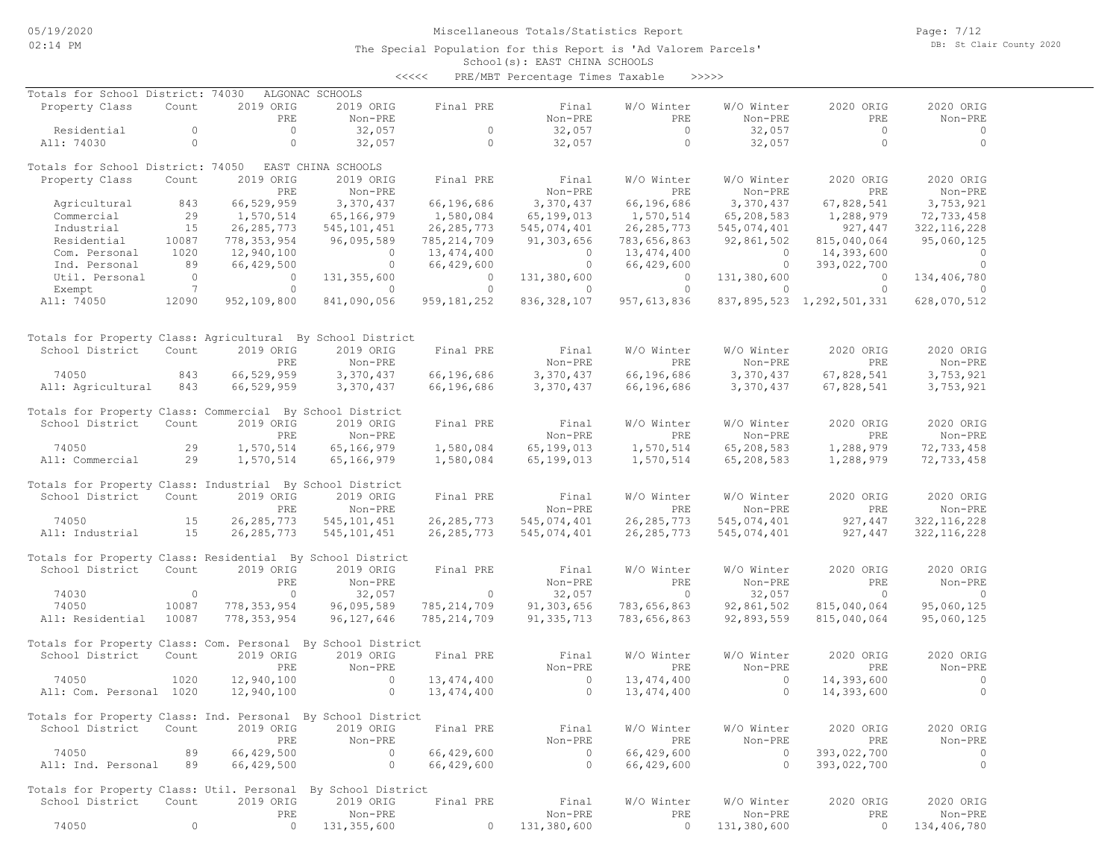Page: 7/12 DB: St Clair County 2020

### School(s): EAST CHINA SCHOOLS The Special Population for this Report is 'Ad Valorem Parcels'

|                                                              |                 |               |                    | $\prec\prec\prec\prec\prec$ | PRE/MBT Percentage Times Taxable |               | >>>>>          |                           |               |
|--------------------------------------------------------------|-----------------|---------------|--------------------|-----------------------------|----------------------------------|---------------|----------------|---------------------------|---------------|
| Totals for School District: 74030                            |                 |               | ALGONAC SCHOOLS    |                             |                                  |               |                |                           |               |
| Property Class                                               | Count           | 2019 ORIG     | 2019 ORIG          | Final PRE                   | Final                            | W/O Winter    | W/O Winter     | 2020 ORIG                 | 2020 ORIG     |
|                                                              |                 | PRE           | Non-PRE            |                             | Non-PRE                          | PRE           | Non-PRE        | PRE                       | Non-PRE       |
| Residential                                                  | $\circ$         | $\circ$       | 32,057             | $\circ$                     | 32,057                           | $\circ$       | 32,057         | $\overline{0}$            | 0             |
| All: 74030                                                   | $\circ$         | $\circ$       | 32,057             | $\circ$                     | 32,057                           | $\circ$       | 32,057         | $\circ$                   | $\circ$       |
| Totals for School District: 74050                            |                 |               | EAST CHINA SCHOOLS |                             |                                  |               |                |                           |               |
| Property Class                                               | Count           | 2019 ORIG     | 2019 ORIG          | Final PRE                   | Final                            | W/O Winter    | W/O Winter     | 2020 ORIG                 | 2020 ORIG     |
|                                                              |                 | PRE           | Non-PRE            |                             | Non-PRE                          | PRE           | Non-PRE        | PRE                       | Non-PRE       |
| Agricultural                                                 | 843             | 66,529,959    | 3,370,437          | 66,196,686                  | 3,370,437                        | 66,196,686    | 3,370,437      | 67,828,541                | 3,753,921     |
| Commercial                                                   | 29              | 1,570,514     | 65,166,979         | 1,580,084                   | 65,199,013                       | 1,570,514     | 65,208,583     | 1,288,979                 | 72,733,458    |
| Industrial                                                   | 15              | 26, 285, 773  | 545, 101, 451      | 26, 285, 773                | 545,074,401                      | 26, 285, 773  | 545,074,401    | 927,447                   | 322, 116, 228 |
| Residential                                                  | 10087           | 778, 353, 954 | 96,095,589         | 785, 214, 709               | 91,303,656                       | 783,656,863   | 92,861,502     | 815,040,064               | 95,060,125    |
| Com. Personal                                                | 1020            | 12,940,100    | $\circ$            | 13,474,400                  | $\overline{0}$                   | 13, 474, 400  | $\overline{0}$ | 14,393,600                | 0             |
| Ind. Personal                                                | 89              | 66,429,500    | $\circ$            | 66,429,600                  | $\circ$                          | 66,429,600    | $\circ$        | 393,022,700               | $\circ$       |
| Util. Personal                                               | $\Omega$        | $\circ$       | 131, 355, 600      | $\circ$                     | 131,380,600                      | $\circ$       | 131,380,600    | $\overline{0}$            | 134,406,780   |
| Exempt                                                       | $7\phantom{.0}$ | $\circ$       | $\circ$            | $\circ$                     | $\circ$                          | $\circ$       | $\circ$        | $\circ$                   | $\Omega$      |
| All: 74050                                                   | 12090           | 952,109,800   | 841,090,056        | 959, 181, 252               | 836, 328, 107                    | 957, 613, 836 |                | 837,895,523 1,292,501,331 | 628,070,512   |
|                                                              |                 |               |                    |                             |                                  |               |                |                           |               |
| Totals for Property Class: Agricultural By School District   |                 |               |                    |                             |                                  |               |                |                           |               |
| School District                                              | Count           | 2019 ORIG     | 2019 ORIG          | Final PRE                   | Final                            | W/O Winter    | W/O Winter     | 2020 ORIG                 | 2020 ORIG     |
|                                                              |                 | PRE           | Non-PRE            |                             | Non-PRE                          | PRE           | Non-PRE        | PRE                       | Non-PRE       |
| 74050                                                        | 843             | 66,529,959    | 3,370,437          | 66,196,686                  | 3,370,437                        | 66,196,686    | 3,370,437      | 67,828,541                | 3,753,921     |
|                                                              | 843             | 66,529,959    |                    | 66,196,686                  |                                  |               |                |                           | 3,753,921     |
| All: Agricultural                                            |                 |               | 3,370,437          |                             | 3,370,437                        | 66,196,686    | 3,370,437      | 67,828,541                |               |
| Totals for Property Class: Commercial By School District     |                 |               |                    |                             |                                  |               |                |                           |               |
| School District                                              | Count           | 2019 ORIG     | 2019 ORIG          | Final PRE                   | Final                            | W/O Winter    | W/O Winter     | 2020 ORIG                 | 2020 ORIG     |
|                                                              |                 | PRE           | Non-PRE            |                             | Non-PRE                          | PRE           | Non-PRE        | PRE                       | Non-PRE       |
| 74050                                                        | 29              | 1,570,514     | 65,166,979         | 1,580,084                   | 65,199,013                       | 1,570,514     | 65,208,583     | 1,288,979                 | 72,733,458    |
| All: Commercial                                              | 29              | 1,570,514     | 65,166,979         | 1,580,084                   | 65,199,013                       | 1,570,514     | 65,208,583     | 1,288,979                 | 72,733,458    |
| Totals for Property Class: Industrial By School District     |                 |               |                    |                             |                                  |               |                |                           |               |
| School District                                              | Count           | 2019 ORIG     | 2019 ORIG          | Final PRE                   | Final                            | W/O Winter    | W/O Winter     | 2020 ORIG                 | 2020 ORIG     |
|                                                              |                 | PRE           | Non-PRE            |                             | Non-PRE                          | PRE           | Non-PRE        | PRE                       | Non-PRE       |
| 74050                                                        | 15              | 26, 285, 773  | 545, 101, 451      | 26, 285, 773                | 545,074,401                      | 26, 285, 773  | 545,074,401    | 927,447                   | 322, 116, 228 |
| All: Industrial                                              | 15              | 26, 285, 773  | 545,101,451        | 26, 285, 773                | 545,074,401                      | 26, 285, 773  | 545,074,401    | 927,447                   | 322, 116, 228 |
|                                                              |                 |               |                    |                             |                                  |               |                |                           |               |
| Totals for Property Class: Residential By School District    |                 |               |                    |                             |                                  |               |                |                           |               |
| School District                                              | Count           | 2019 ORIG     | 2019 ORIG          | Final PRE                   | Final                            | W/O Winter    | W/O Winter     | 2020 ORIG                 | 2020 ORIG     |
|                                                              |                 | PRE           | Non-PRE            |                             | Non-PRE                          | PRE           | Non-PRE        | PRE                       | Non-PRE       |
| 74030                                                        | $\circ$         | $\circ$       | 32,057             | $\circ$                     | 32,057                           | $\circ$       | 32,057         | $\circ$                   | $\mathbf 0$   |
| 74050                                                        | 10087           | 778, 353, 954 | 96,095,589         | 785, 214, 709               | 91,303,656                       | 783,656,863   | 92,861,502     | 815,040,064               | 95,060,125    |
| All: Residential                                             | 10087           | 778, 353, 954 | 96,127,646         | 785, 214, 709               | 91, 335, 713                     | 783,656,863   | 92,893,559     | 815,040,064               | 95,060,125    |
| Totals for Property Class: Com. Personal By School District  |                 |               |                    |                             |                                  |               |                |                           |               |
| School District                                              | Count           | 2019 ORIG     | 2019 ORIG          | Final PRE                   | Final                            | W/O Winter    | W/O Winter     | 2020 ORIG                 | 2020 ORIG     |
|                                                              |                 | PRE           | Non-PRE            |                             | Non-PRE                          | PRE           | Non-PRE        | PRE                       | Non-PRE       |
| 74050                                                        | 1020            | 12,940,100    | $\circ$            | 13, 474, 400                | $\circ$                          | 13,474,400    | $\circ$        | 14,393,600                | $\circ$       |
| All: Com. Personal 1020                                      |                 | 12,940,100    | $\circ$            | 13, 474, 400                | $\circ$                          | 13, 474, 400  | $\circ$        | 14,393,600                | $\circ$       |
| Totals for Property Class: Ind. Personal By School District  |                 |               |                    |                             |                                  |               |                |                           |               |
| School District                                              | Count           | 2019 ORIG     | 2019 ORIG          | Final PRE                   | Final                            | W/O Winter    | W/O Winter     | 2020 ORIG                 | 2020 ORIG     |
|                                                              |                 | PRE           | Non-PRE            |                             | Non-PRE                          | PRE           | Non-PRE        | PRE                       | Non-PRE       |
| 74050                                                        | 89              | 66,429,500    | $\circ$            | 66,429,600                  | $\overline{0}$                   | 66,429,600    | $\circ$        | 393,022,700               | 0             |
| All: Ind. Personal                                           | 89              | 66,429,500    | $\circ$            | 66,429,600                  | $\overline{0}$                   | 66,429,600    | $\Omega$       | 393,022,700               | $\circ$       |
|                                                              |                 |               |                    |                             |                                  |               |                |                           |               |
| Totals for Property Class: Util. Personal By School District |                 |               |                    |                             |                                  |               |                |                           |               |
| School District                                              | Count           | 2019 ORIG     | 2019 ORIG          | Final PRE                   | Final                            | W/O Winter    | W/O Winter     | 2020 ORIG                 | 2020 ORIG     |
|                                                              |                 | PRE           | Non-PRE            |                             | Non-PRE                          | PRE           | Non-PRE        | PRE                       | Non-PRE       |

74050 0 0 131,355,600 0 131,380,600 0 131,380,600 0 134,406,780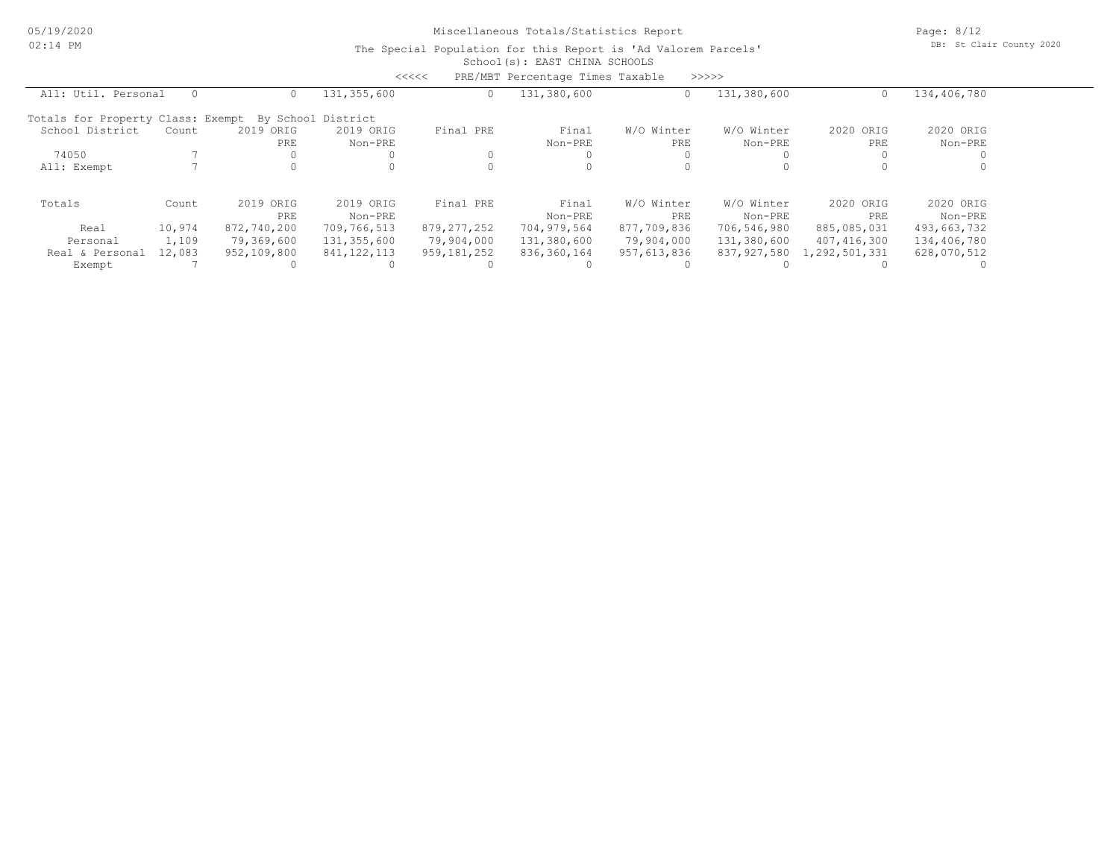Page: 8/12 DB: St Clair County 2020

|                                   |        |             |                    | <<<<          | PRE/MBT Percentage Times Taxable |             | >>>>>       |               |             |  |
|-----------------------------------|--------|-------------|--------------------|---------------|----------------------------------|-------------|-------------|---------------|-------------|--|
| All: Util. Personal               |        |             | 131,355,600        | $\circ$       | 131,380,600                      | 0           | 131,380,600 |               | 134,406,780 |  |
| Totals for Property Class: Exempt |        |             | By School District |               |                                  |             |             |               |             |  |
| School District                   | Count  | 2019 ORIG   | 2019 ORIG          | Final PRE     | Final                            | W/O Winter  | W/O Winter  | 2020<br>ORIG  | 2020 ORIG   |  |
|                                   |        | <b>PRE</b>  | Non-PRE            |               | Non-PRE                          | PRE         | Non-PRE     | PRE           | Non-PRE     |  |
| 74050                             |        |             |                    | $\mathbf{0}$  |                                  |             |             |               |             |  |
| All: Exempt                       |        |             |                    | $\Omega$      |                                  |             |             |               |             |  |
| Totals                            | Count  | 2019 ORIG   | 2019 ORIG          | Final PRE     | Final                            | W/O Winter  | W/O Winter  | 2020 ORIG     | 2020 ORIG   |  |
|                                   |        | PRE.        | Non-PRE            |               | Non-PRE                          | PRE.        | Non-PRE     | PRE           | Non-PRE     |  |
| Real                              | 10,974 | 872,740,200 | 709,766,513        | 879, 277, 252 | 704,979,564                      | 877,709,836 | 706,546,980 | 885,085,031   | 493,663,732 |  |
| Personal                          | 1,109  | 79,369,600  | 131,355,600        | 79,904,000    | 131,380,600                      | 79,904,000  | 131,380,600 | 407,416,300   | 134,406,780 |  |
| Real & Personal                   | 12,083 | 952,109,800 | 841, 122, 113      | 959,181,252   | 836,360,164                      | 957,613,836 | 837,927,580 | 1,292,501,331 | 628,070,512 |  |
| Exempt                            |        |             |                    |               |                                  |             |             |               |             |  |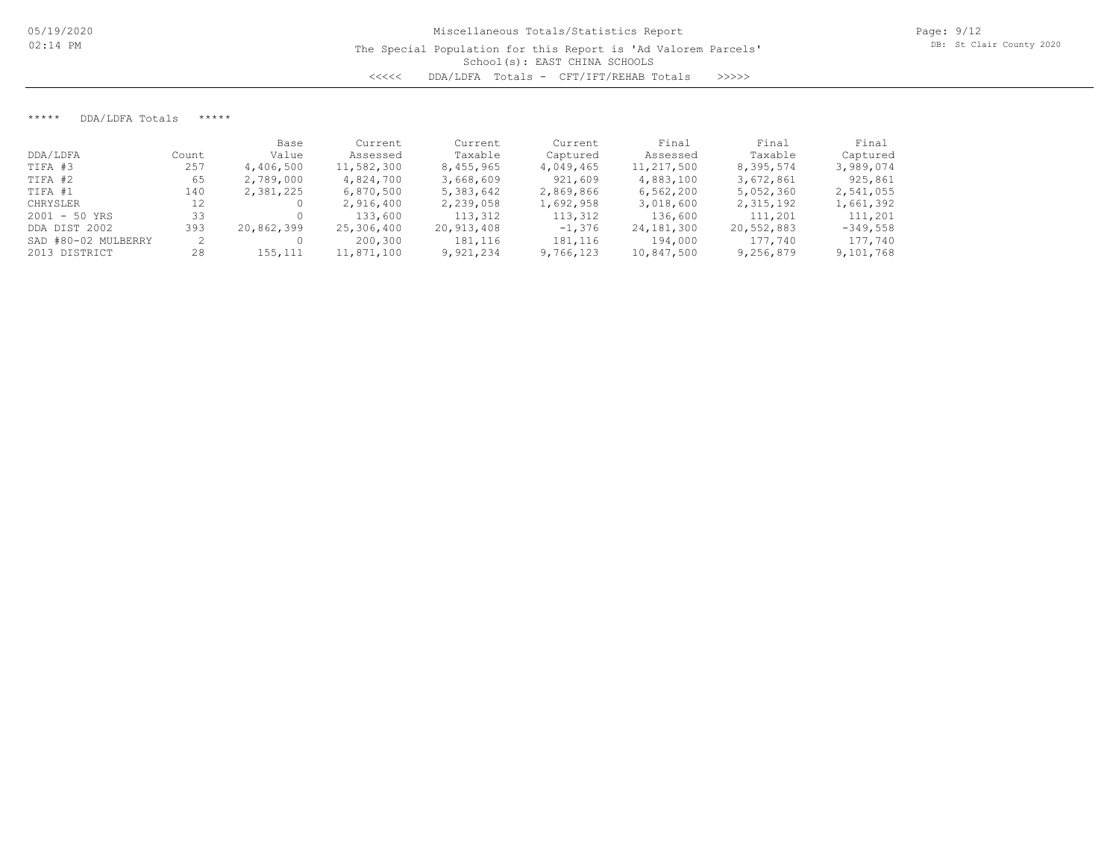\*\*\*\*\* DDA/LDFA Totals \*\*\*\*\*

|                     |       | Base       | Current    | Current    | Current   | Final      | Final      | Final      |
|---------------------|-------|------------|------------|------------|-----------|------------|------------|------------|
| DDA/LDFA            | Count | Value      | Assessed   | Taxable    | Captured  | Assessed   | Taxable    | Captured   |
| TIFA #3             | 257   | 4,406,500  | 11,582,300 | 8,455,965  | 4,049,465 | 11,217,500 | 8,395,574  | 3,989,074  |
| TIFA #2             | 65    | 2,789,000  | 4,824,700  | 3,668,609  | 921,609   | 4,883,100  | 3,672,861  | 925,861    |
| TIFA #1             | 140   | 2,381,225  | 6,870,500  | 5,383,642  | 2,869,866 | 6,562,200  | 5,052,360  | 2,541,055  |
| CHRYSLER            | 12    |            | 2,916,400  | 2,239,058  | 1,692,958 | 3,018,600  | 2,315,192  | 1,661,392  |
| $2001 - 50$ YRS     | 33    |            | 133,600    | 113,312    | 113,312   | 136,600    | 111,201    | 111,201    |
| DDA DIST 2002       | 393   | 20,862,399 | 25,306,400 | 20,913,408 | $-1,376$  | 24,181,300 | 20,552,883 | $-349,558$ |
| SAD #80-02 MULBERRY |       |            | 200,300    | 181,116    | 181,116   | 194,000    | 177,740    | 177,740    |
| 2013 DISTRICT       | 28    | 155,111    | 11,871,100 | 9,921,234  | 9,766,123 | 10,847,500 | 9,256,879  | 9,101,768  |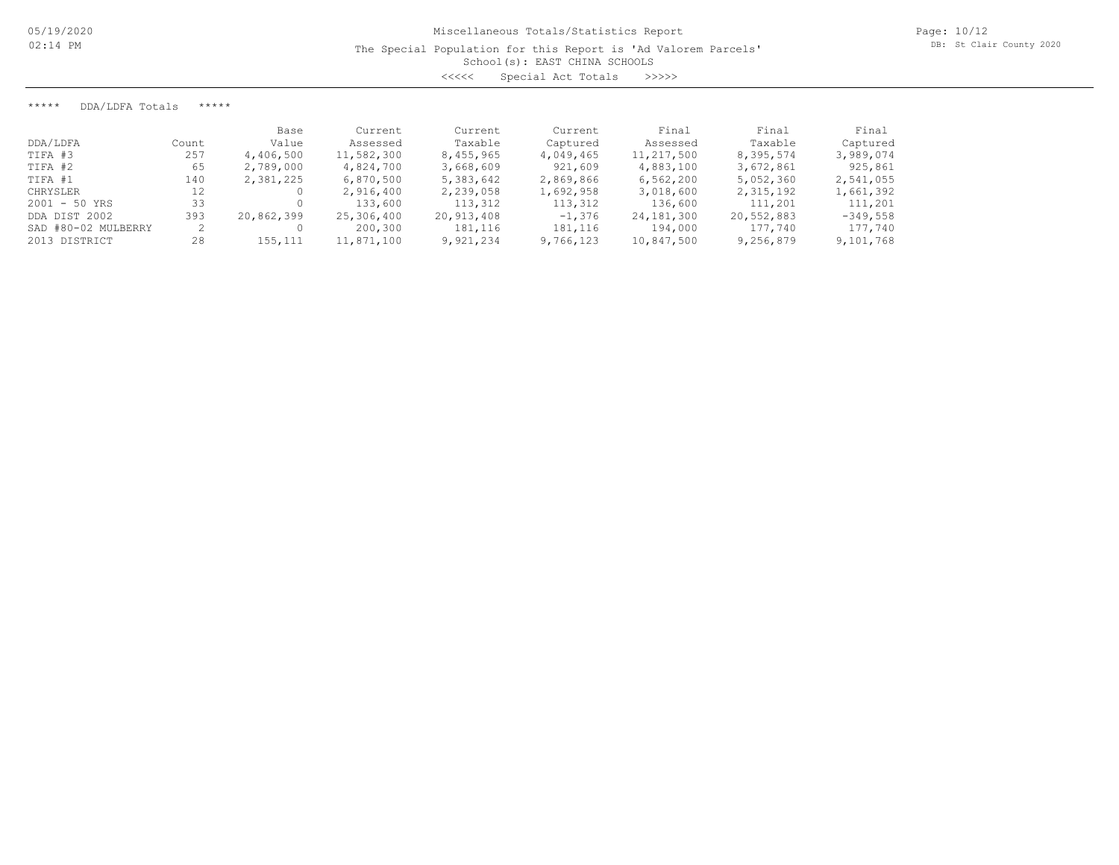The Special Population for this Report is 'Ad Valorem Parcels'

School(s): EAST CHINA SCHOOLS

<<<<< Special Act Totals >>>>>

\*\*\*\*\* DDA/LDFA Totals \*\*\*\*\*

|                     |       | Base       | Current    | Current    | Current   | Final        | Final      | Final      |
|---------------------|-------|------------|------------|------------|-----------|--------------|------------|------------|
| DDA/LDFA            | Count | Value      | Assessed   | Taxable    | Captured  | Assessed     | Taxable    | Captured   |
| TIFA #3             | 257   | 4,406,500  | 11,582,300 | 8,455,965  | 4,049,465 | 11,217,500   | 8,395,574  | 3,989,074  |
| TIFA #2             | 65    | 2,789,000  | 4,824,700  | 3,668,609  | 921,609   | 4,883,100    | 3,672,861  | 925,861    |
| TIFA #1             | 140   | 2,381,225  | 6,870,500  | 5,383,642  | 2,869,866 | 6,562,200    | 5,052,360  | 2,541,055  |
| CHRYSLER            | 12    |            | 2,916,400  | 2,239,058  | 1,692,958 | 3,018,600    | 2,315,192  | 1,661,392  |
| $2001 - 50$ YRS     | 33    |            | 133,600    | 113,312    | 113,312   | 136,600      | 111,201    | 111,201    |
| DDA DIST 2002       | 393   | 20,862,399 | 25,306,400 | 20,913,408 | $-1,376$  | 24, 181, 300 | 20,552,883 | $-349,558$ |
| SAD #80-02 MULBERRY |       |            | 200,300    | 181,116    | 181,116   | 194,000      | 177,740    | 177,740    |
| 2013 DISTRICT       | 28    | 155,111    | 11,871,100 | 9,921,234  | 9,766,123 | 10,847,500   | 9,256,879  | 9,101,768  |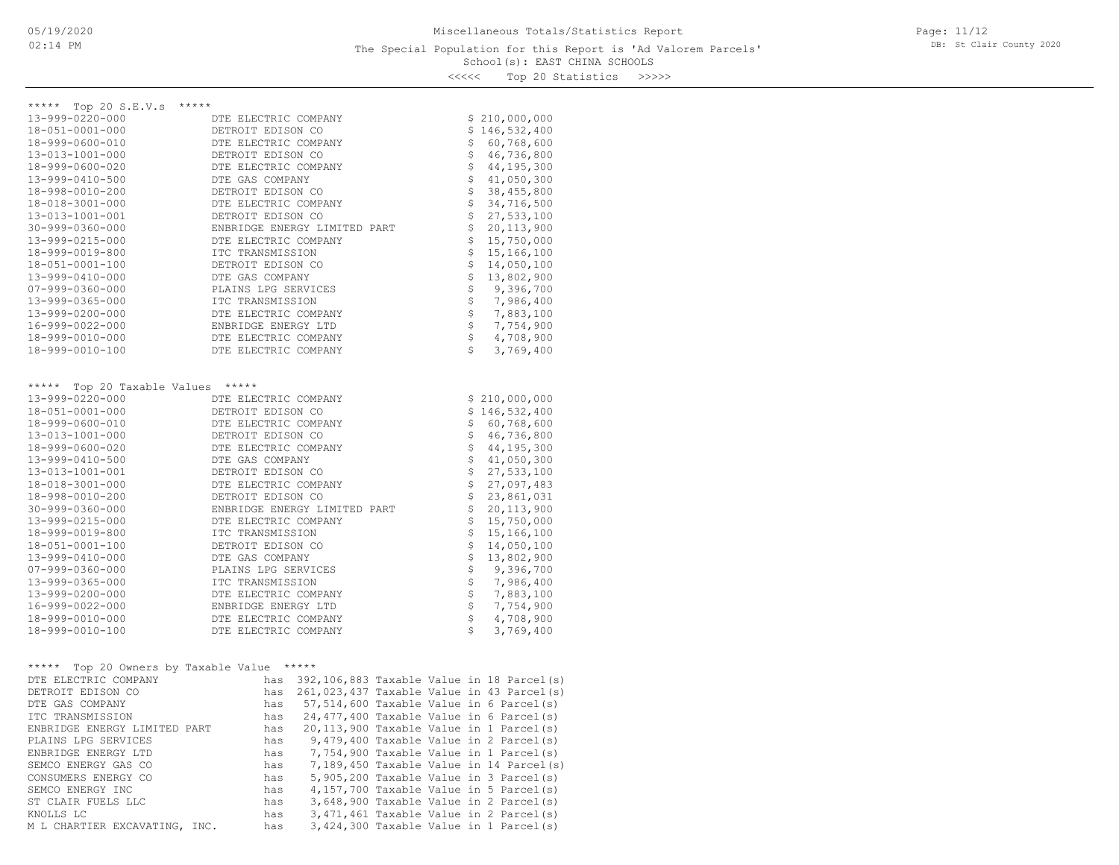### School(s): EAST CHINA SCHOOLS The Special Population for this Report is 'Ad Valorem Parcels'

Page: 11/12 DB: St Clair County 2020

<<<<< Top 20 Statistics >>>>>

| *****                                      |                      |                                               |  |                   |                                               |
|--------------------------------------------|----------------------|-----------------------------------------------|--|-------------------|-----------------------------------------------|
| ***** Top 20 S.E.V.s                       |                      |                                               |  |                   |                                               |
| 13-999-0220-000                            | DTE ELECTRIC COMPANY |                                               |  |                   | \$210,000,000                                 |
| 18-051-0001-000                            | DETROIT EDISON CO    |                                               |  |                   | \$146,532,400                                 |
| 18-999-0600-010                            | DTE ELECTRIC COMPANY |                                               |  | \$                | 60,768,600                                    |
| 13-013-1001-000                            | DETROIT EDISON CO    |                                               |  | \$                | 46,736,800                                    |
| 18-999-0600-020                            | DTE ELECTRIC COMPANY |                                               |  | \$                | 44,195,300                                    |
| 13-999-0410-500                            | DTE GAS COMPANY      |                                               |  | \$                | 41,050,300                                    |
| 18-998-0010-200                            | DETROIT EDISON CO    |                                               |  | \$                | 38, 455, 800                                  |
| 18-018-3001-000                            | DTE ELECTRIC COMPANY |                                               |  | \$                | 34,716,500                                    |
| 13-013-1001-001                            | DETROIT EDISON CO    |                                               |  | \$                | 27,533,100                                    |
| $30 - 999 - 0360 - 000$                    |                      | ENBRIDGE ENERGY LIMITED PART                  |  | \$                | 20, 113, 900                                  |
| 13-999-0215-000                            | DTE ELECTRIC COMPANY |                                               |  | \$                | 15,750,000                                    |
| 18-999-0019-800                            | ITC TRANSMISSION     |                                               |  | $\frac{1}{2}$     | 15,166,100                                    |
| 18-051-0001-100                            | DETROIT EDISON CO    |                                               |  | \$                | 14,050,100                                    |
| 13-999-0410-000                            | DTE GAS COMPANY      |                                               |  | \$                | 13,802,900                                    |
| $07 - 999 - 0360 - 000$                    | PLAINS LPG SERVICES  |                                               |  | \$                | 9,396,700                                     |
| 13-999-0365-000                            | ITC TRANSMISSION     |                                               |  | \$                | 7,986,400                                     |
| 13-999-0200-000                            | DTE ELECTRIC COMPANY |                                               |  | \$                | 7,883,100                                     |
| 16-999-0022-000                            | ENBRIDGE ENERGY LTD  |                                               |  | \$                | 7,754,900                                     |
| 18-999-0010-000                            | DTE ELECTRIC COMPANY |                                               |  | \$                | 4,708,900                                     |
| 18-999-0010-100                            | DTE ELECTRIC COMPANY |                                               |  | Ś                 | 3,769,400                                     |
|                                            |                      |                                               |  |                   |                                               |
|                                            |                      |                                               |  |                   |                                               |
| ***** Top 20 Taxable Values                | *****                |                                               |  |                   |                                               |
| 13-999-0220-000                            | DTE ELECTRIC COMPANY |                                               |  |                   | \$210,000,000                                 |
| 18-051-0001-000                            | DETROIT EDISON CO    |                                               |  |                   | \$146,532,400                                 |
| 18-999-0600-010                            | DTE ELECTRIC COMPANY |                                               |  | \$                | 60,768,600                                    |
| 13-013-1001-000                            | DETROIT EDISON CO    |                                               |  | \$                | 46,736,800                                    |
| 18-999-0600-020                            | DTE ELECTRIC COMPANY |                                               |  | $\hat{\varsigma}$ | 44,195,300                                    |
| 13-999-0410-500                            | DTE GAS COMPANY      |                                               |  | \$                | 41,050,300                                    |
| 13-013-1001-001                            | DETROIT EDISON CO    |                                               |  | \$                | 27,533,100                                    |
| 18-018-3001-000                            | DTE ELECTRIC COMPANY |                                               |  | \$                | 27,097,483                                    |
| 18-998-0010-200                            | DETROIT EDISON CO    |                                               |  | \$                | 23,861,031                                    |
| $30 - 999 - 0360 - 000$                    |                      | ENBRIDGE ENERGY LIMITED PART                  |  | \$                | 20, 113, 900                                  |
| 13-999-0215-000                            | DTE ELECTRIC COMPANY |                                               |  | \$                | 15,750,000                                    |
| 18-999-0019-800                            | ITC TRANSMISSION     |                                               |  | \$                | 15,166,100                                    |
| 18-051-0001-100                            | DETROIT EDISON CO    |                                               |  | \$                | 14,050,100                                    |
| 13-999-0410-000                            | DTE GAS COMPANY      |                                               |  | \$                | 13,802,900                                    |
| $07 - 999 - 0360 - 000$                    | PLAINS LPG SERVICES  |                                               |  | \$                | 9,396,700                                     |
| 13-999-0365-000                            | ITC TRANSMISSION     |                                               |  |                   | 7,986,400                                     |
| 13-999-0200-000                            | DTE ELECTRIC COMPANY |                                               |  |                   | 7,883,100                                     |
| 16-999-0022-000                            | ENBRIDGE ENERGY LTD  |                                               |  |                   | 7,754,900                                     |
| 18-999-0010-000                            | DTE ELECTRIC COMPANY |                                               |  | さささ               | 4,708,900                                     |
| 18-999-0010-100                            | DTE ELECTRIC COMPANY |                                               |  | Ś                 | 3,769,400                                     |
|                                            |                      |                                               |  |                   |                                               |
|                                            |                      |                                               |  |                   |                                               |
| ***** Top 20 Owners by Taxable Value ***** |                      |                                               |  |                   |                                               |
| DTE ELECTRIC COMPANY                       |                      |                                               |  |                   | has 392,106,883 Taxable Value in 18 Parcel(s) |
| DETROIT EDISON CO                          |                      |                                               |  |                   | has 261,023,437 Taxable Value in 43 Parcel(s) |
| DTE GAS COMPANY                            |                      | has 57,514,600 Taxable Value in 6 Parcel(s)   |  |                   |                                               |
| ITC TRANSMISSION                           |                      | has $24,477,400$ Taxable Value in 6 Parcel(s) |  |                   |                                               |
| ENBRIDGE ENERGY LIMITED PART               |                      | has 20,113,900 Taxable Value in 1 Parcel(s)   |  |                   |                                               |
| PLAINS LPG SERVICES                        |                      | has 9,479,400 Taxable Value in 2 Parcel(s)    |  |                   |                                               |
| ENBRIDGE ENERGY LTD                        | has                  |                                               |  |                   | 7,754,900 Taxable Value in 1 Parcel(s)        |

M L CHARTIER EXCAVATING, INC. has 3,424,300 Taxable Value in 1 Parcel(s) KNOLLS LC has 3,471,461 Taxable Value in 2 Parcel(s) ST CLAIR FUELS LLC has 3,648,900 Taxable Value in 2 Parcel(s) SEMCO ENERGY INC has 4,157,700 Taxable Value in 5 Parcel(s) CONSUMERS ENERGY CO has 5,905,200 Taxable Value in 3 Parcel(s) SEMCO ENERGY GAS CO has 7,189,450 Taxable Value in 14 Parcel(s)